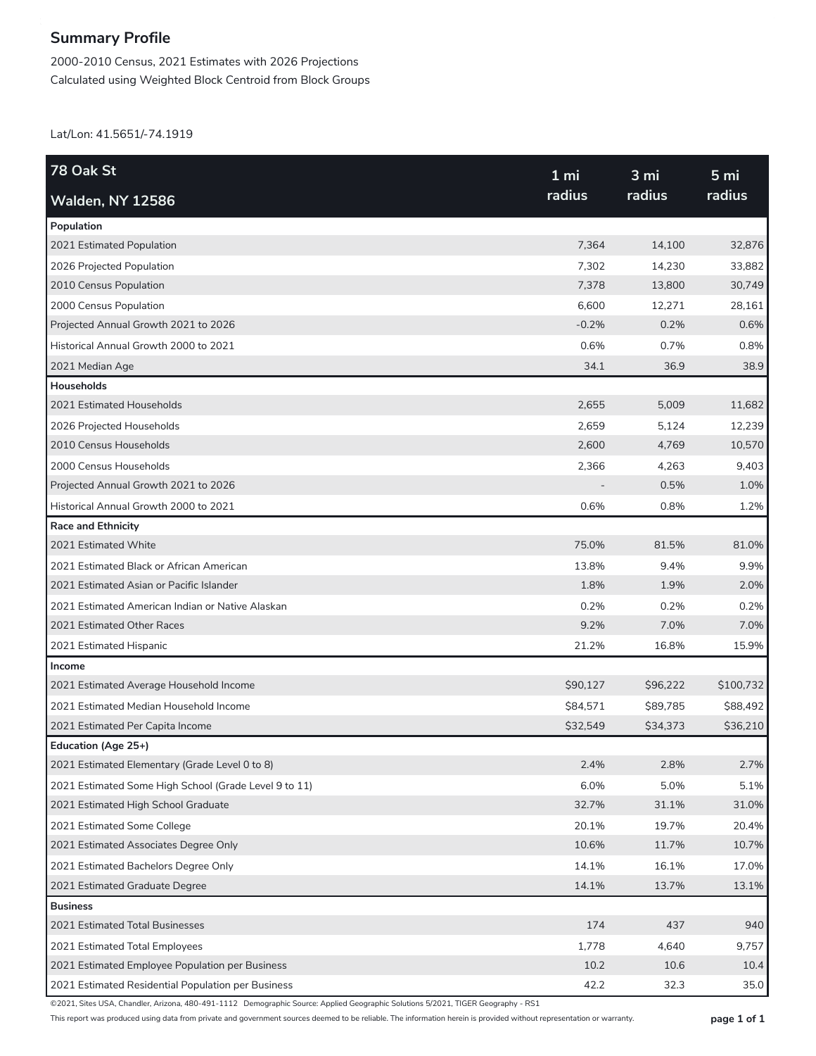## **Summary Profile**

2000-2010 Census, 2021 Estimates with 2026 Projections Calculated using Weighted Block Centroid from Block Groups

Lat/Lon: 41.5651/-74.1919

| 78 Oak St                                             | 1 <sub>mi</sub><br>radius | 3 mi<br>radius | 5 <sub>mi</sub><br>radius |
|-------------------------------------------------------|---------------------------|----------------|---------------------------|
| <b>Walden, NY 12586</b>                               |                           |                |                           |
| Population                                            |                           |                |                           |
| 2021 Estimated Population                             | 7,364                     | 14,100         | 32,876                    |
| 2026 Projected Population                             | 7,302                     | 14,230         | 33,882                    |
| 2010 Census Population                                | 7,378                     | 13,800         | 30,749                    |
| 2000 Census Population                                | 6,600                     | 12,271         | 28,161                    |
| Projected Annual Growth 2021 to 2026                  | $-0.2%$                   | 0.2%           | 0.6%                      |
| Historical Annual Growth 2000 to 2021                 | 0.6%                      | 0.7%           | 0.8%                      |
| 2021 Median Age                                       | 34.1                      | 36.9           | 38.9                      |
| <b>Households</b>                                     |                           |                |                           |
| 2021 Estimated Households                             | 2,655                     | 5,009          | 11,682                    |
| 2026 Projected Households                             | 2,659                     | 5,124          | 12,239                    |
| 2010 Census Households                                | 2,600                     | 4,769          | 10,570                    |
| 2000 Census Households                                | 2,366                     | 4,263          | 9,403                     |
| Projected Annual Growth 2021 to 2026                  |                           | 0.5%           | 1.0%                      |
| Historical Annual Growth 2000 to 2021                 | 0.6%                      | 0.8%           | 1.2%                      |
| <b>Race and Ethnicity</b>                             |                           |                |                           |
| 2021 Estimated White                                  | 75.0%                     | 81.5%          | 81.0%                     |
| 2021 Estimated Black or African American              | 13.8%                     | 9.4%           | 9.9%                      |
| 2021 Estimated Asian or Pacific Islander              | 1.8%                      | 1.9%           | 2.0%                      |
| 2021 Estimated American Indian or Native Alaskan      | 0.2%                      | 0.2%           | 0.2%                      |
| 2021 Estimated Other Races                            | 9.2%                      | 7.0%           | 7.0%                      |
| 2021 Estimated Hispanic                               | 21.2%                     | 16.8%          | 15.9%                     |
| Income                                                |                           |                |                           |
| 2021 Estimated Average Household Income               | \$90,127                  | \$96,222       | \$100,732                 |
| 2021 Estimated Median Household Income                | \$84,571                  | \$89,785       | \$88,492                  |
| 2021 Estimated Per Capita Income                      | \$32,549                  | \$34,373       | \$36,210                  |
| Education (Age 25+)                                   |                           |                |                           |
| 2021 Estimated Elementary (Grade Level 0 to 8)        | 2.4%                      | 2.8%           | 2.7%                      |
| 2021 Estimated Some High School (Grade Level 9 to 11) | 6.0%                      | 5.0%           | 5.1%                      |
| 2021 Estimated High School Graduate                   | 32.7%                     | 31.1%          | 31.0%                     |
| 2021 Estimated Some College                           | 20.1%                     | 19.7%          | 20.4%                     |
| 2021 Estimated Associates Degree Only                 | 10.6%                     | 11.7%          | 10.7%                     |
| 2021 Estimated Bachelors Degree Only                  | 14.1%                     | 16.1%          | 17.0%                     |
| 2021 Estimated Graduate Degree                        | 14.1%                     | 13.7%          | 13.1%                     |
| <b>Business</b>                                       |                           |                |                           |
| 2021 Estimated Total Businesses                       | 174                       | 437            | 940                       |
| 2021 Estimated Total Employees                        | 1,778                     | 4,640          | 9,757                     |
| 2021 Estimated Employee Population per Business       | 10.2                      | 10.6           | 10.4                      |
| 2021 Estimated Residential Population per Business    | 42.2                      | 32.3           | 35.0                      |

©2021, Sites USA, Chandler, Arizona, 480-491-1112 Demographic Source: Applied Geographic Solutions 5/2021, TIGER Geography - RS1

This report was produced using data from private and government sources deemed to be reliable. The information herein is provided without representation or warranty. **page 1 of 1**